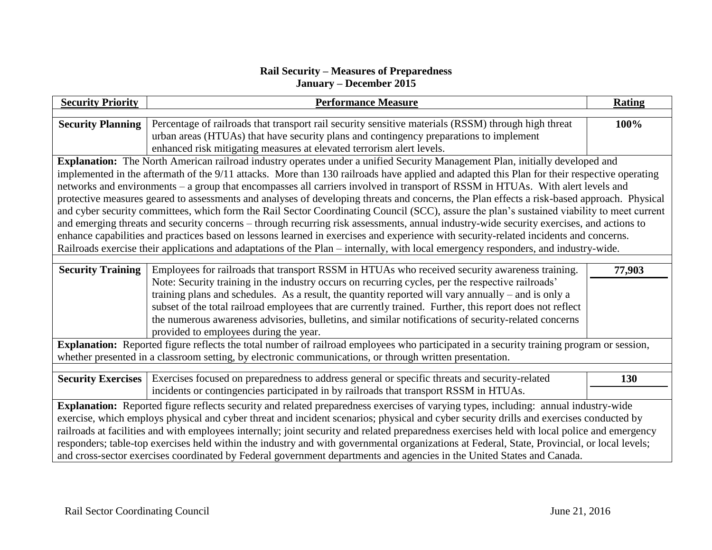## **Rail Security – Measures of Preparedness January – December 2015**

| <b>Security Priority</b>                                                                                                                      | <b>Performance Measure</b>                                                                                                                                                                          | <b>Rating</b> |  |  |
|-----------------------------------------------------------------------------------------------------------------------------------------------|-----------------------------------------------------------------------------------------------------------------------------------------------------------------------------------------------------|---------------|--|--|
| <b>Security Planning</b>                                                                                                                      | Percentage of railroads that transport rail security sensitive materials (RSSM) through high threat                                                                                                 | 100%          |  |  |
|                                                                                                                                               | urban areas (HTUAs) that have security plans and contingency preparations to implement                                                                                                              |               |  |  |
|                                                                                                                                               | enhanced risk mitigating measures at elevated terrorism alert levels.                                                                                                                               |               |  |  |
| Explanation: The North American railroad industry operates under a unified Security Management Plan, initially developed and                  |                                                                                                                                                                                                     |               |  |  |
| implemented in the aftermath of the 9/11 attacks. More than 130 railroads have applied and adapted this Plan for their respective operating   |                                                                                                                                                                                                     |               |  |  |
| networks and environments - a group that encompasses all carriers involved in transport of RSSM in HTUAs. With alert levels and               |                                                                                                                                                                                                     |               |  |  |
| protective measures geared to assessments and analyses of developing threats and concerns, the Plan effects a risk-based approach. Physical   |                                                                                                                                                                                                     |               |  |  |
| and cyber security committees, which form the Rail Sector Coordinating Council (SCC), assure the plan's sustained viability to meet current   |                                                                                                                                                                                                     |               |  |  |
| and emerging threats and security concerns – through recurring risk assessments, annual industry-wide security exercises, and actions to      |                                                                                                                                                                                                     |               |  |  |
| enhance capabilities and practices based on lessons learned in exercises and experience with security-related incidents and concerns.         |                                                                                                                                                                                                     |               |  |  |
| Railroads exercise their applications and adaptations of the Plan - internally, with local emergency responders, and industry-wide.           |                                                                                                                                                                                                     |               |  |  |
|                                                                                                                                               |                                                                                                                                                                                                     |               |  |  |
| <b>Security Training</b>                                                                                                                      | Employees for railroads that transport RSSM in HTUAs who received security awareness training.<br>Note: Security training in the industry occurs on recurring cycles, per the respective railroads' | 77,903        |  |  |
|                                                                                                                                               | training plans and schedules. As a result, the quantity reported will vary annually – and is only a                                                                                                 |               |  |  |
|                                                                                                                                               | subset of the total railroad employees that are currently trained. Further, this report does not reflect                                                                                            |               |  |  |
|                                                                                                                                               | the numerous awareness advisories, bulletins, and similar notifications of security-related concerns                                                                                                |               |  |  |
|                                                                                                                                               | provided to employees during the year.                                                                                                                                                              |               |  |  |
| Explanation: Reported figure reflects the total number of railroad employees who participated in a security training program or session,      |                                                                                                                                                                                                     |               |  |  |
| whether presented in a classroom setting, by electronic communications, or through written presentation.                                      |                                                                                                                                                                                                     |               |  |  |
|                                                                                                                                               |                                                                                                                                                                                                     |               |  |  |
| <b>Security Exercises</b>                                                                                                                     | Exercises focused on preparedness to address general or specific threats and security-related                                                                                                       | 130           |  |  |
|                                                                                                                                               | incidents or contingencies participated in by railroads that transport RSSM in HTUAs.                                                                                                               |               |  |  |
| Explanation: Reported figure reflects security and related preparedness exercises of varying types, including: annual industry-wide           |                                                                                                                                                                                                     |               |  |  |
| exercise, which employs physical and cyber threat and incident scenarios; physical and cyber security drills and exercises conducted by       |                                                                                                                                                                                                     |               |  |  |
| railroads at facilities and with employees internally; joint security and related preparedness exercises held with local police and emergency |                                                                                                                                                                                                     |               |  |  |
| responders; table-top exercises held within the industry and with governmental organizations at Federal, State, Provincial, or local levels;  |                                                                                                                                                                                                     |               |  |  |
| and cross-sector exercises coordinated by Federal government departments and agencies in the United States and Canada.                        |                                                                                                                                                                                                     |               |  |  |